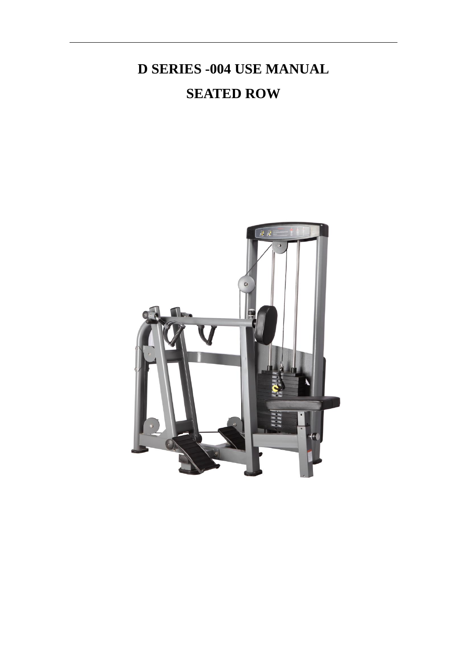# **D SERIES -004 USE MANUAL SEATED ROW**

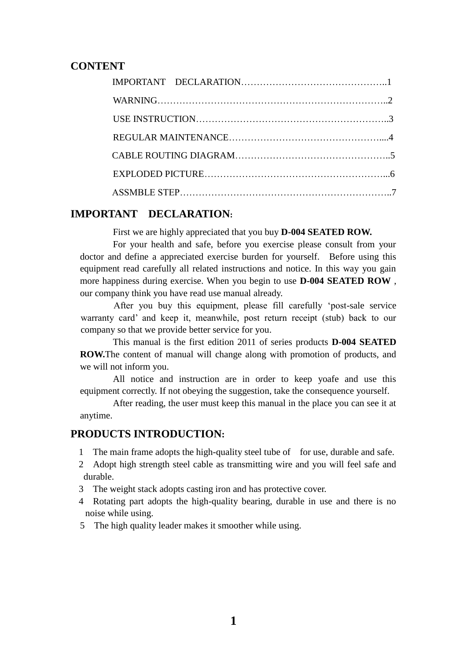### **CONTENT**

#### **IMPORTANT DECLARATION:**

First we are highly appreciated that you buy **D-004 SEATED ROW.**

For your health and safe, before you exercise please consult from your doctor and define a appreciated exercise burden for yourself. Before using this equipment read carefully all related instructions and notice. In this way you gain more happiness during exercise. When you begin to use **D-004 SEATED ROW** , our company think you have read use manual already.

After you buy this equipment, please fill carefully 'post-sale service warranty card' and keep it, meanwhile, post return receipt (stub) back to our company so that we provide better service for you.

This manual is the first edition 2011 of series products **D-004 SEATED ROW.**The content of manual will change along with promotion of products, and we will not inform you.

All notice and instruction are in order to keep yoafe and use this equipment correctly. If not obeying the suggestion, take the consequence yourself.

After reading, the user must keep this manual in the place you can see it at anytime.

#### **PRODUCTS INTRODUCTION:**

- 1 The main frame adopts the high-quality steel tube of for use, durable and safe.
- 2 Adopt high strength steel cable as transmitting wire and you will feel safe and durable.
- 3 The weight stack adopts casting iron and has protective cover.
- 4 Rotating part adopts the high-quality bearing, durable in use and there is no noise while using.
- 5 The high quality leader makes it smoother while using.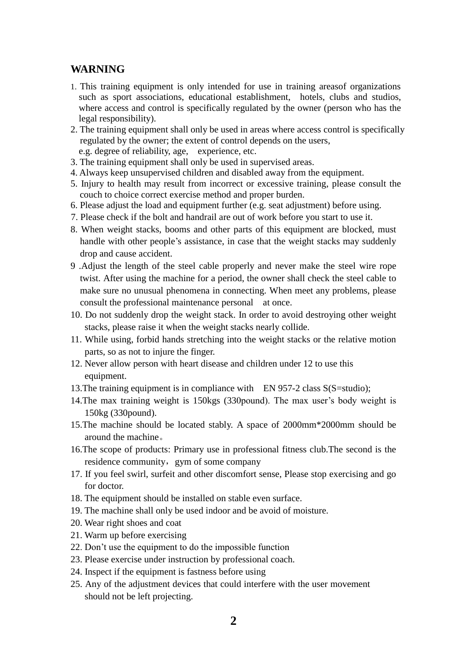## **WARNING**

- 1. This training equipment is only intended for use in training areasof organizations such as sport associations, educational establishment, hotels, clubs and studios, where access and control is specifically regulated by the owner (person who has the legal responsibility).
- 2. The training equipment shall only be used in areas where access control is specifically regulated by the owner; the extent of control depends on the users,
- e.g. degree of reliability, age, experience, etc.
- 3. The training equipment shall only be used in supervised areas.
- 4. Always keep unsupervised children and disabled away from the equipment.
- 5. Injury to health may result from incorrect or excessive training, please consult the couch to choice correct exercise method and proper burden.
- 6. Please adjust the load and equipment further (e.g. seat adjustment) before using.
- 7. Please check if the bolt and handrail are out of work before you start to use it.
- 8. When weight stacks, booms and other parts of this equipment are blocked, must handle with other people's assistance, in case that the weight stacks may suddenly drop and cause accident.
- 9 .Adjust the length of the steel cable properly and never make the steel wire rope twist. After using the machine for a period, the owner shall check the steel cable to make sure no unusual phenomena in connecting. When meet any problems, please consult the professional maintenance personal at once.
- 10. Do not suddenly drop the weight stack. In order to avoid destroying other weight stacks, please raise it when the weight stacks nearly collide.
- 11. While using, forbid hands stretching into the weight stacks or the relative motion parts, so as not to injure the finger.
- 12. Never allow person with heart disease and children under 12 to use this equipment.
- 13. The training equipment is in compliance with EN 957-2 class S(S=studio);
- 14.The max training weight is 150kgs (330pound). The max user's body weight is 150kg (330pound).
- 15.The machine should be located stably. A space of 2000mm\*2000mm should be around the machine。
- 16.The scope of products: Primary use in professional fitness club.The second is the residence community, gym of some company
- 17. If you feel swirl, surfeit and other discomfort sense, Please stop exercising and go for doctor.
- 18. The equipment should be installed on stable even surface.
- 19. The machine shall only be used indoor and be avoid of moisture.
- 20. Wear right shoes and coat
- 21. Warm up before exercising
- 22. Don't use the equipment to do the impossible function
- 23. Please exercise under instruction by professional coach.
- 24. Inspect if the equipment is fastness before using
- 25. Any of the adjustment devices that could interfere with the user movement should not be left projecting.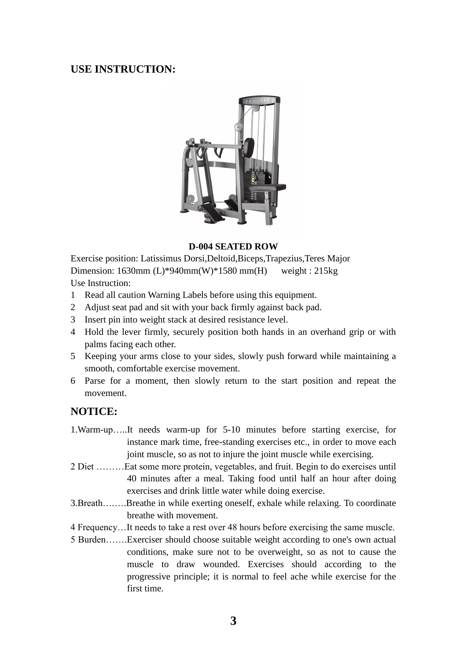## **USE INSTRUCTION:**



#### **D-004 SEATED ROW**

Exercise position: Latissimus Dorsi,Deltoid,Biceps,Trapezius,Teres Major Dimension: 1630mm (L)\*940mm(W)\*1580 mm(H) weight : 215kg Use Instruction:

- 1 Read all caution Warning Labels before using this equipment.
- 2 Adjust seat pad and sit with your back firmly against back pad.
- 3 Insert pin into weight stack at desired resistance level.
- 4 Hold the lever firmly, securely position both hands in an overhand grip or with palms facing each other.
- 5 Keeping your arms close to your sides, slowly push forward while maintaining a smooth, comfortable exercise movement.
- 6 Parse for a moment, then slowly return to the start position and repeat the movement.

## **NOTICE:**

- 1.Warm-up…..It needs warm-up for 5-10 minutes before starting exercise, for instance mark time, free-standing exercises etc., in order to move each joint muscle, so as not to injure the joint muscle while exercising.
- 2 Diet ………Eat some more protein, vegetables, and fruit. Begin to do exercises until 40 minutes after a meal. Taking food until half an hour after doing exercises and drink little water while doing exercise.
- 3.Breath….….Breathe in while exerting oneself, exhale while relaxing. To coordinate breathe with movement.
- 4 Frequency…It needs to take a rest over 48 hours before exercising the same muscle.
- 5 Burden…….Exerciser should choose suitable weight according to one's own actual conditions, make sure not to be overweight, so as not to cause the muscle to draw wounded. Exercises should according to the progressive principle; it is normal to feel ache while exercise for the first time.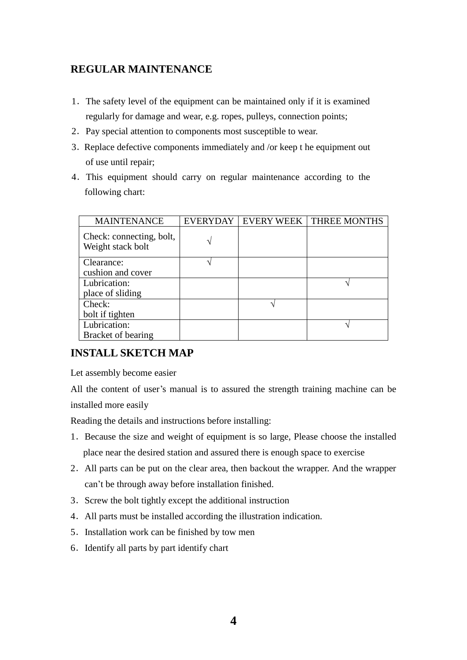# **REGULAR MAINTENANCE**

- 1.The safety level of the equipment can be maintained only if it is examined regularly for damage and wear, e.g. ropes, pulleys, connection points;
- 2.Pay special attention to components most susceptible to wear.
- 3.Replace defective components immediately and /or keep t he equipment out of use until repair;
- 4.This equipment should carry on regular maintenance according to the following chart:

| <b>MAINTENANCE</b>                            | <b>EVERYDAY</b> | <b>EVERY WEEK</b> | THREE MONTHS |
|-----------------------------------------------|-----------------|-------------------|--------------|
| Check: connecting, bolt,<br>Weight stack bolt |                 |                   |              |
| Clearance:                                    |                 |                   |              |
| cushion and cover                             |                 |                   |              |
| Lubrication:                                  |                 |                   |              |
| place of sliding                              |                 |                   |              |
| Check:                                        |                 |                   |              |
| bolt if tighten                               |                 |                   |              |
| Lubrication:                                  |                 |                   |              |
| Bracket of bearing                            |                 |                   |              |

# **INSTALL SKETCH MAP**

Let assembly become easier

All the content of user's manual is to assured the strength training machine can be installed more easily

Reading the details and instructions before installing:

- 1.Because the size and weight of equipment is so large, Please choose the installed place near the desired station and assured there is enough space to exercise
- 2.All parts can be put on the clear area, then backout the wrapper. And the wrapper can't be through away before installation finished.
- 3.Screw the bolt tightly except the additional instruction
- 4.All parts must be installed according the illustration indication.
- 5.Installation work can be finished by tow men
- 6.Identify all parts by part identify chart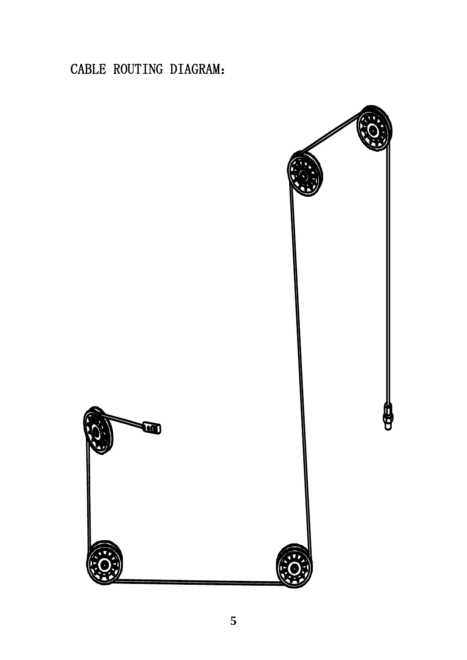CABLE ROUTING DIAGRAM:

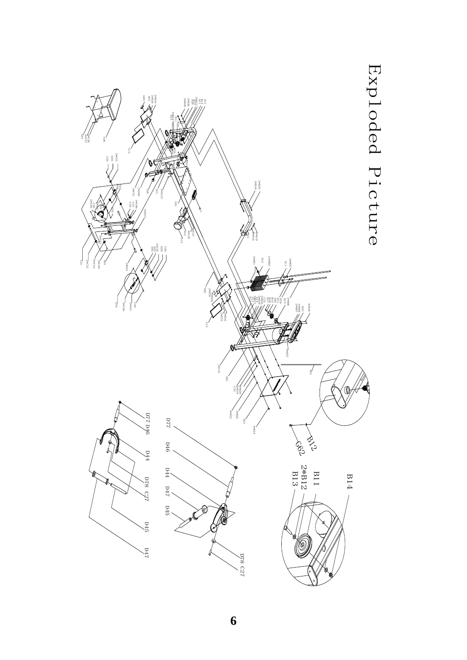

**6**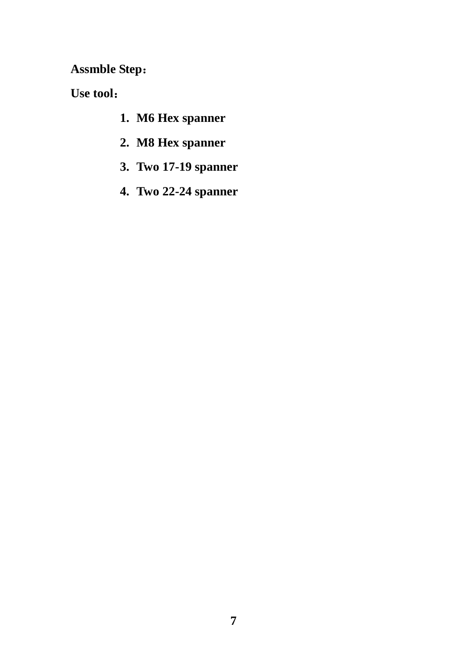**Assmble Step**:

**Use tool**:

- **1. M6 Hex spanner**
- **2. M8 Hex spanner**
- **3. Two 17-19 spanner**
- **4. Two 22-24 spanner**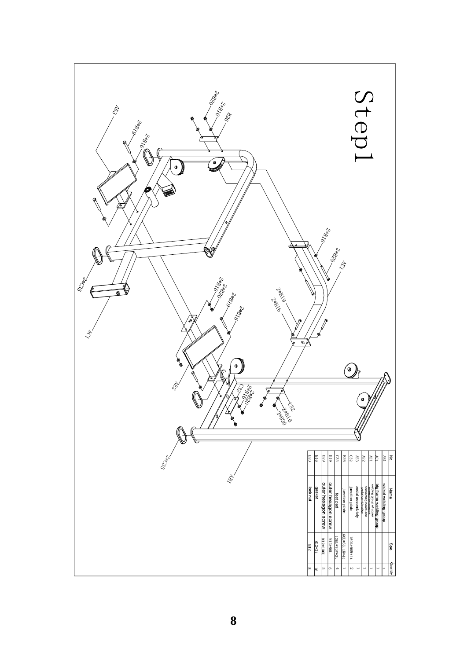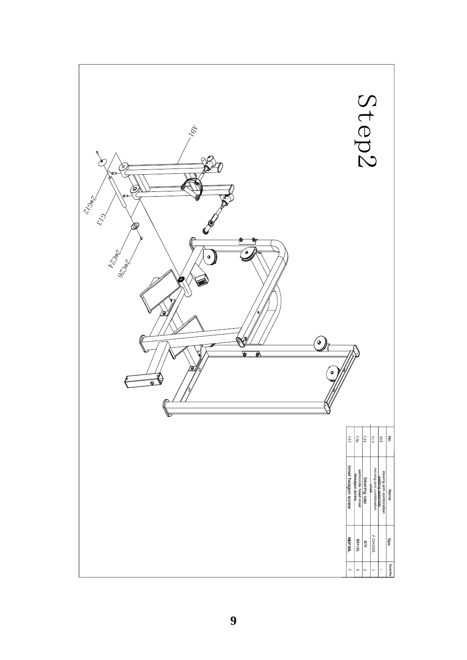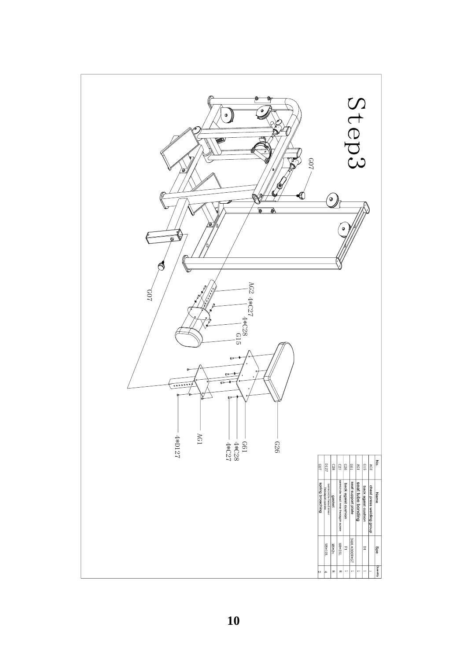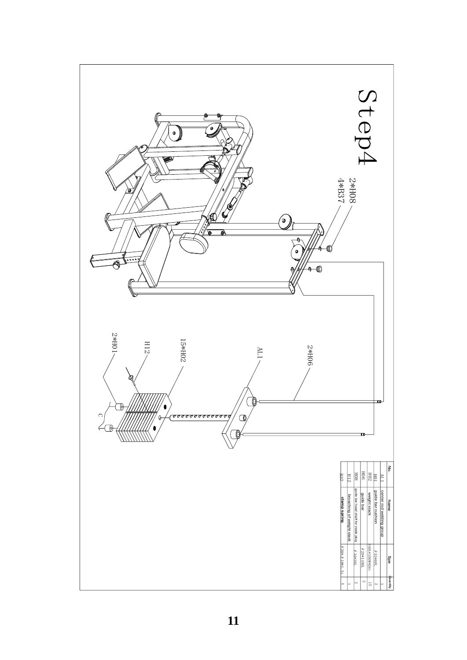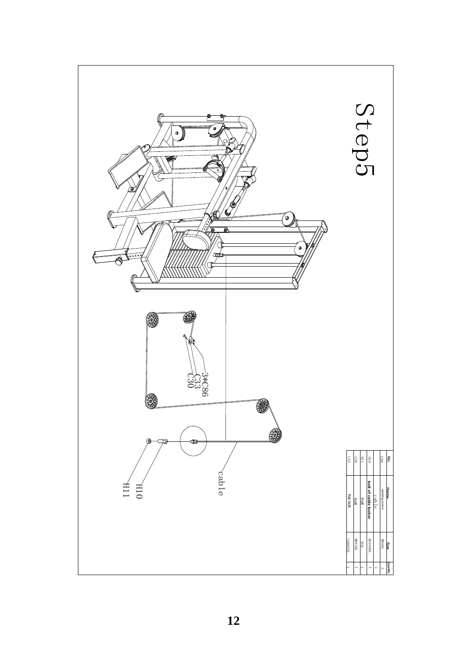